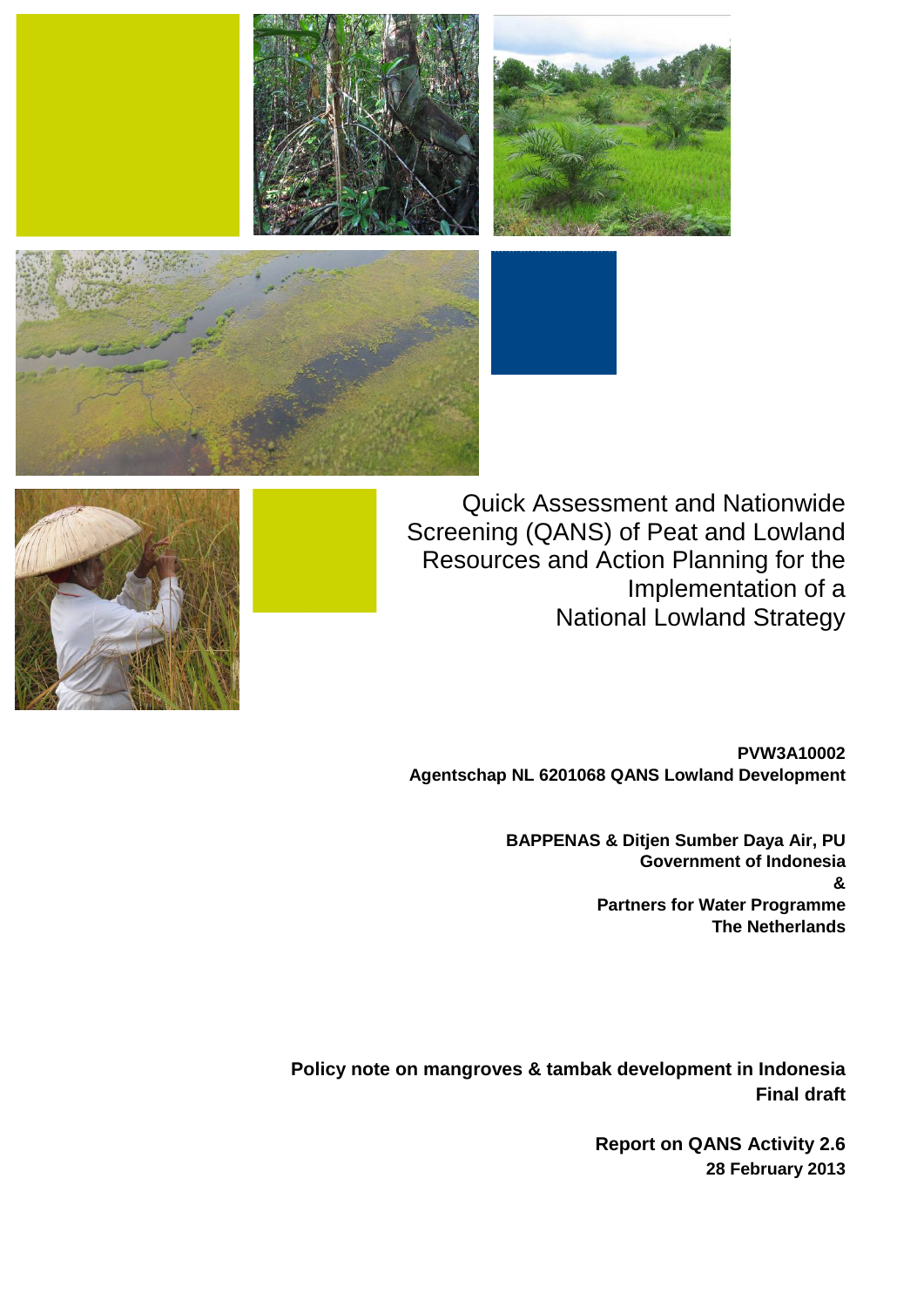



Quick Assessment and Nationwide Screening (QANS) of Peat and Lowland Resources and Action Planning for the Implementation of a National Lowland Strategy



**PVW3A10002 Agentschap NL 6201068 QANS Lowland Development**

> **BAPPENAS & Ditjen Sumber Daya Air, PU Government of Indonesia & Partners for Water Programme The Netherlands**

**Policy note on mangroves & tambak development in Indonesia Final draft**

> **Report on QANS Activity 2.6 28 February 2013**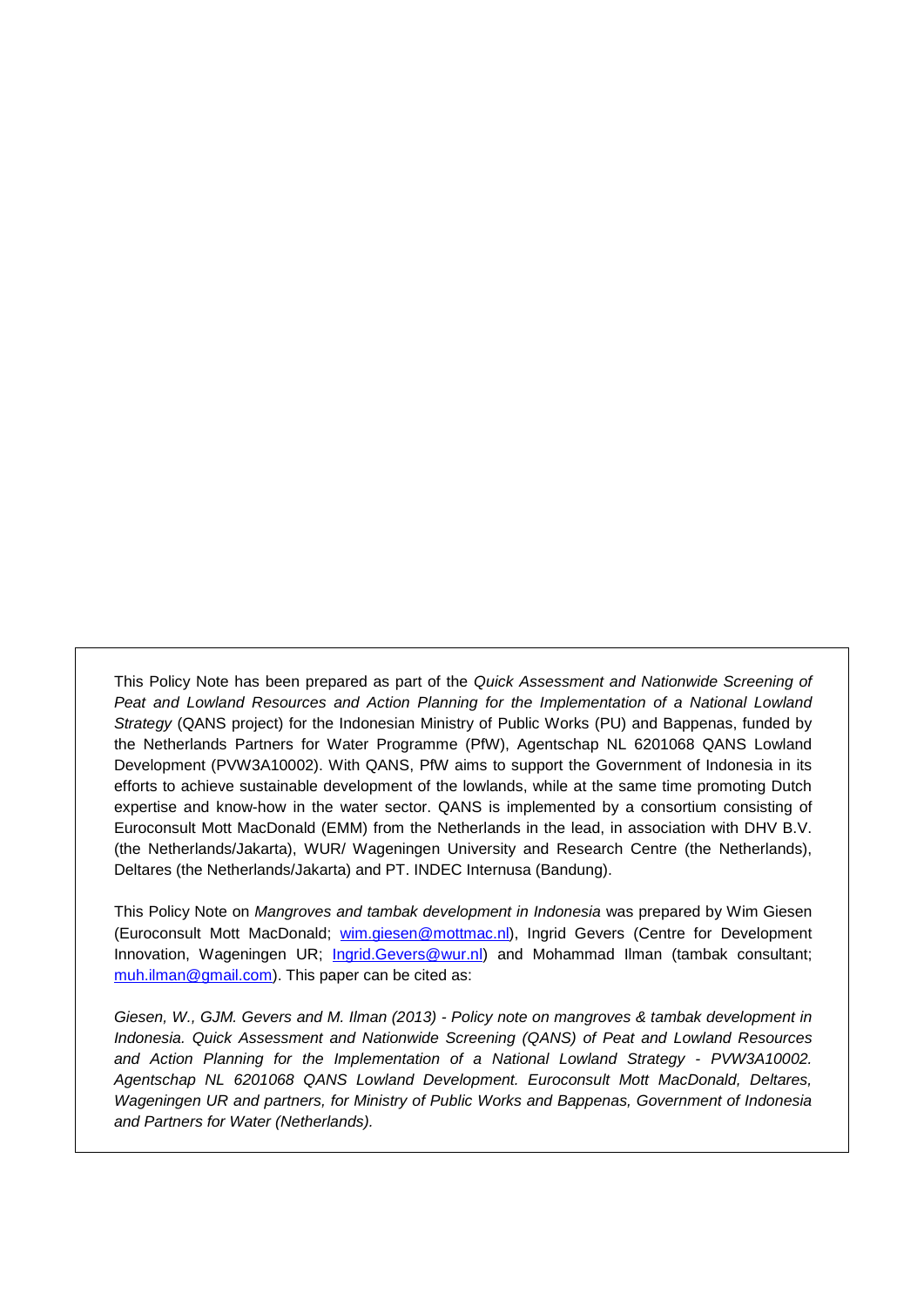This Policy Note has been prepared as part of the *Quick Assessment and Nationwide Screening of*  Peat and Lowland Resources and Action Planning for the Implementation of a National Lowland *Strategy* (QANS project) for the Indonesian Ministry of Public Works (PU) and Bappenas, funded by the Netherlands Partners for Water Programme (PfW), Agentschap NL 6201068 QANS Lowland Development (PVW3A10002). With QANS, PfW aims to support the Government of Indonesia in its efforts to achieve sustainable development of the lowlands, while at the same time promoting Dutch expertise and know-how in the water sector. QANS is implemented by a consortium consisting of Euroconsult Mott MacDonald (EMM) from the Netherlands in the lead, in association with DHV B.V. (the Netherlands/Jakarta), WUR/ Wageningen University and Research Centre (the Netherlands), Deltares (the Netherlands/Jakarta) and PT. INDEC Internusa (Bandung).

This Policy Note on *Mangroves and tambak development in Indonesia* was prepared by Wim Giesen (Euroconsult Mott MacDonald; [wim.giesen@mottmac.nl\)](mailto:wim.giesen@mottmac.nl), Ingrid Gevers (Centre for Development Innovation, Wageningen UR; [Ingrid.Gevers@wur.nl\)](mailto:Ingrid.Gevers@wur.nl) and Mohammad Ilman (tambak consultant; [muh.ilman@gmail.com\)](mailto:muh.ilman@gmail.com). This paper can be cited as:

*Giesen, W., GJM. Gevers and M. Ilman (2013) - Policy note on mangroves & tambak development in Indonesia. Quick Assessment and Nationwide Screening (QANS) of Peat and Lowland Resources and Action Planning for the Implementation of a National Lowland Strategy - PVW3A10002. Agentschap NL 6201068 QANS Lowland Development. Euroconsult Mott MacDonald, Deltares, Wageningen UR and partners, for Ministry of Public Works and Bappenas, Government of Indonesia and Partners for Water (Netherlands).*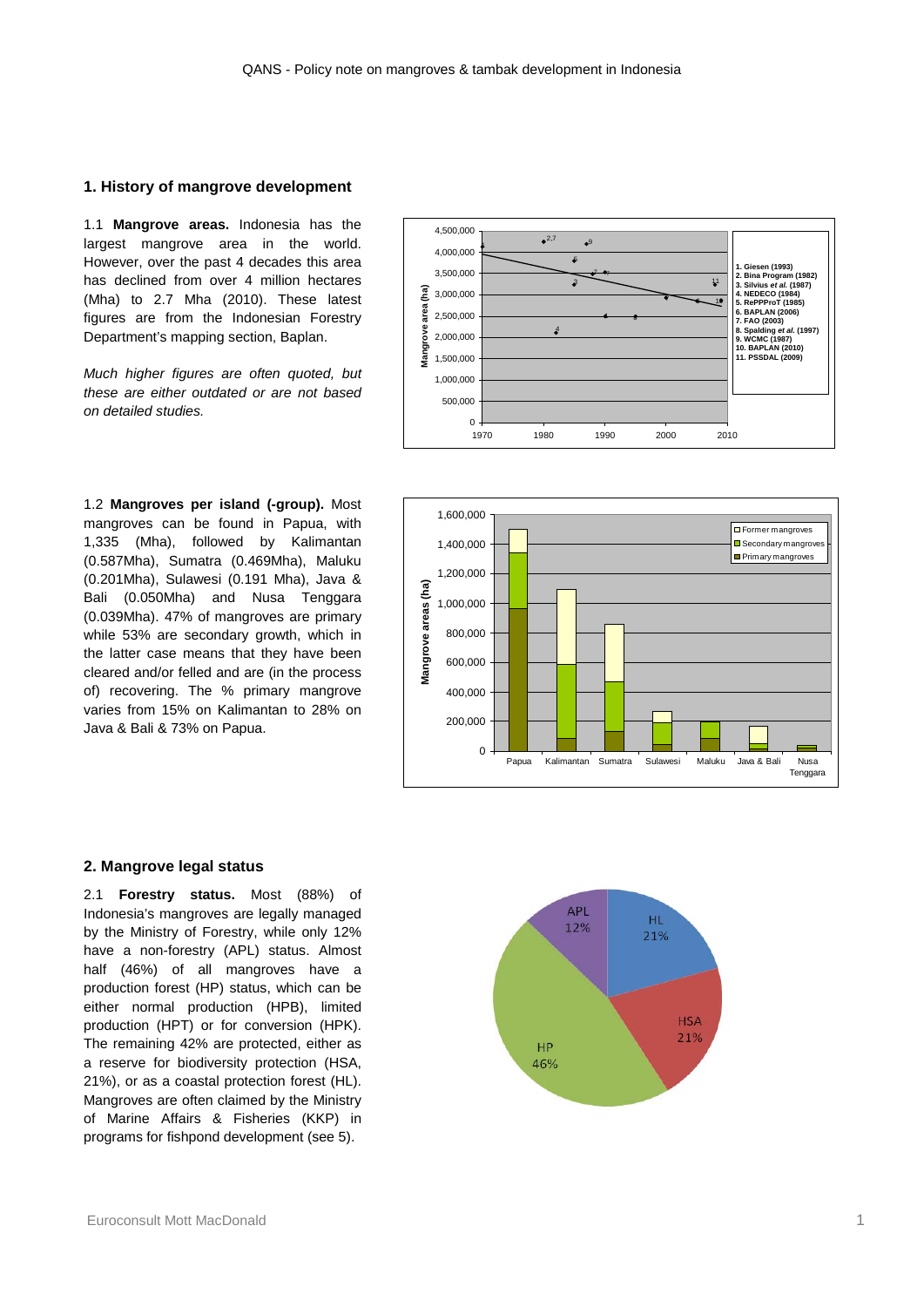## **1. History of mangrove development**

1.1 **Mangrove areas.** Indonesia has the largest mangrove area in the world. However, over the past 4 decades this area has declined from over 4 million hectares (Mha) to 2.7 Mha (2010). These latest figures are from the Indonesian Forestry Department's mapping section, Baplan.

*Much higher figures are often quoted, but these are either outdated or are not based on detailed studies.* <sup>0</sup>

1.2 **Mangroves per island (-group).** Most mangroves can be found in Papua, with 1,335 (Mha), followed by Kalimantan (0.587Mha), Sumatra (0.469Mha), Maluku (0.201Mha), Sulawesi (0.191 Mha), Java & Bali (0.050Mha) and Nusa Tenggara (0.039Mha). 47% of mangroves are primary while 53% are secondary growth, which in the latter case means that they have been cleared and/or felled and are (in the process of) recovering. The % primary mangrove varies from 15% on Kalimantan to 28% on Java & Bali & 73% on Papua.





#### **2. Mangrove legal status**

2.1 **Forestry status.** Most (88%) of Indonesia's mangroves are legally managed by the Ministry of Forestry, while only 12% have a non-forestry (APL) status. Almost half (46%) of all mangroves have a production forest (HP) status, which can be either normal production (HPB), limited production (HPT) or for conversion (HPK). The remaining 42% are protected, either as a reserve for biodiversity protection (HSA, 21%), or as a coastal protection forest (HL). Mangroves are often claimed by the Ministry of Marine Affairs & Fisheries (KKP) in programs for fishpond development (see 5).

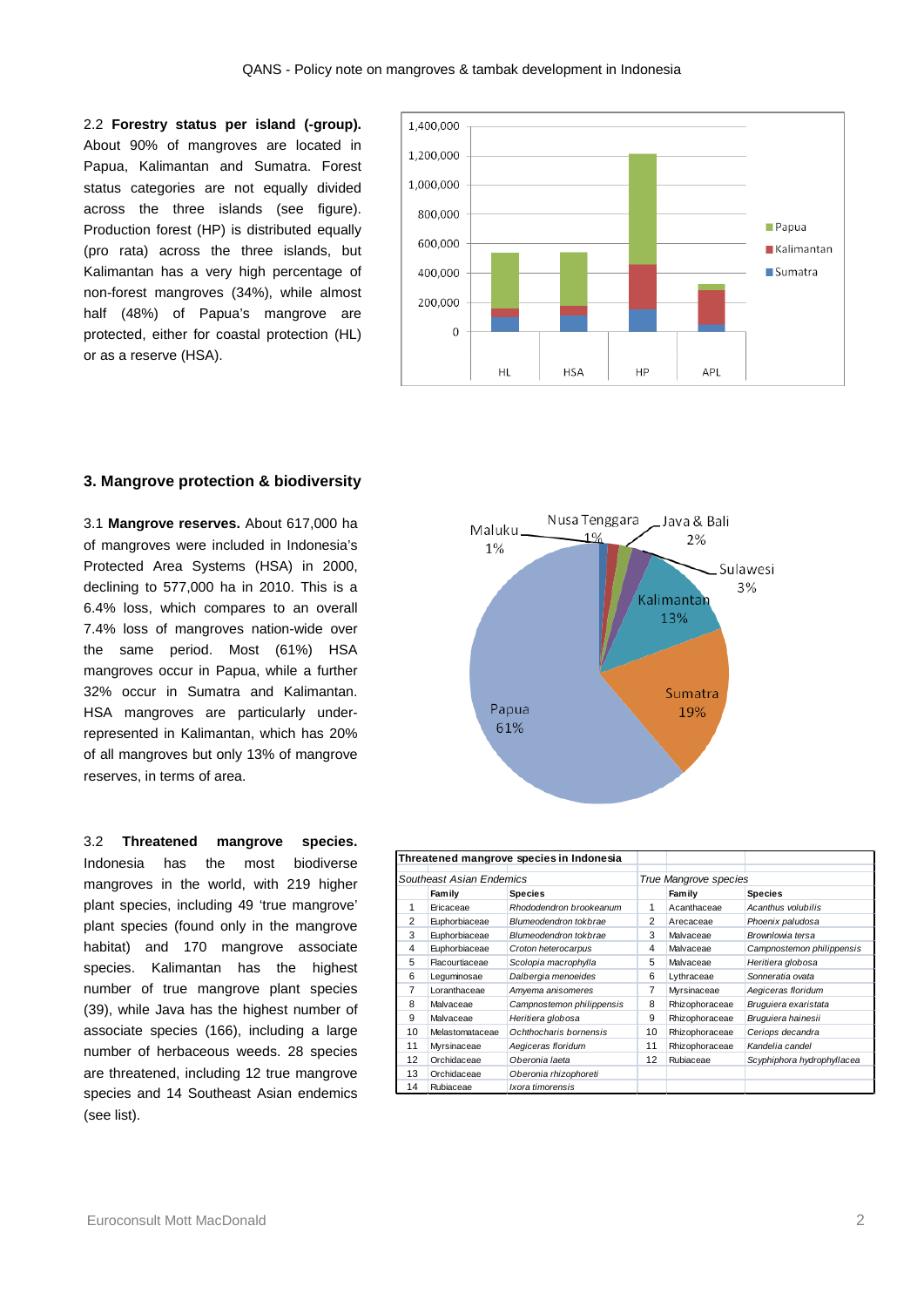2.2 **Forestry status per island (-group).**  About 90% of mangroves are located in Papua, Kalimantan and Sumatra. Forest status categories are not equally divided across the three islands (see figure). Production forest (HP) is distributed equally (pro rata) across the three islands, but Kalimantan has a very high percentage of non-forest mangroves (34%), while almost half (48%) of Papua's mangrove are protected, either for coastal protection (HL) or as a reserve (HSA).



## **3. Mangrove protection & biodiversity**

3.1 **Mangrove reserves.** About 617,000 ha of mangroves were included in Indonesia's Protected Area Systems (HSA) in 2000, declining to 577,000 ha in 2010. This is a 6.4% loss, which compares to an overall 7.4% loss of mangroves nation-wide over the same period. Most (61%) HSA mangroves occur in Papua, while a further 32% occur in Sumatra and Kalimantan. HSA mangroves are particularly underrepresented in Kalimantan, which has 20% of all mangroves but only 13% of mangrove reserves, in terms of area.

3.2 **Threatened mangrove species.**  Indonesia has the most biodiverse mangroves in the world, with 219 higher plant species, including 49 'true mangrove' plant species (found only in the mangrove habitat) and 170 mangrove associate species. Kalimantan has the highest number of true mangrove plant species (39), while Java has the highest number of associate species (166), including a large number of herbaceous weeds. 28 species are threatened, including 12 true mangrove species and 14 Southeast Asian endemics (see list).



| Threatened mangrove species in Indonesia |                 |                           |                       |                |                            |
|------------------------------------------|-----------------|---------------------------|-----------------------|----------------|----------------------------|
| Southeast Asian Endemics                 |                 |                           | True Mangrove species |                |                            |
|                                          | Family          | <b>Species</b>            |                       | Family         | <b>Species</b>             |
| 1                                        | Ericaceae       | Rhododendron brookeanum   | 1                     | Acanthaceae    | Acanthus volubilis         |
| $\overline{2}$                           | Euphorbiaceae   | Blumeodendron tokbrae     | 2                     | Arecaceae      | Phoenix paludosa           |
| 3                                        | Euphorbiaceae   | Blumeodendron tokbrae     | 3                     | Malvaceae      | Brownlowia tersa           |
| 4                                        | Euphorbiaceae   | Croton heterocarpus       | 4                     | Malvaceae      | Campnostemon philippensis  |
| 5                                        | Flacourtiaceae  | Scolopia macrophylla      | 5                     | Malvaceae      | Heritiera globosa          |
| 6                                        | Leguminosae     | Dalbergia menoeides       | 6                     | Lythraceae     | Sonneratia ovata           |
| 7                                        | Loranthaceae    | Amyema anisomeres         | 7                     | Myrsinaceae    | Aegiceras floridum         |
| 8                                        | Malvaceae       | Campnostemon philippensis | 8                     | Rhizophoraceae | Bruguiera exaristata       |
| 9                                        | Malvaceae       | Heritiera globosa         | 9                     | Rhizophoraceae | Bruguiera hainesii         |
| 10                                       | Melastomataceae | Ochthocharis bornensis    | 10                    | Rhizophoraceae | Ceriops decandra           |
| 11                                       | Myrsinaceae     | Aegiceras floridum        | 11                    | Rhizophoraceae | Kandelia candel            |
| 12                                       | Orchidaceae     | Oberonia laeta            | 12                    | Rubiaceae      | Scyphiphora hydrophyllacea |
| 13                                       | Orchidaceae     | Oberonia rhizophoreti     |                       |                |                            |
| 14                                       | Rubiaceae       | Ixora timorensis          |                       |                |                            |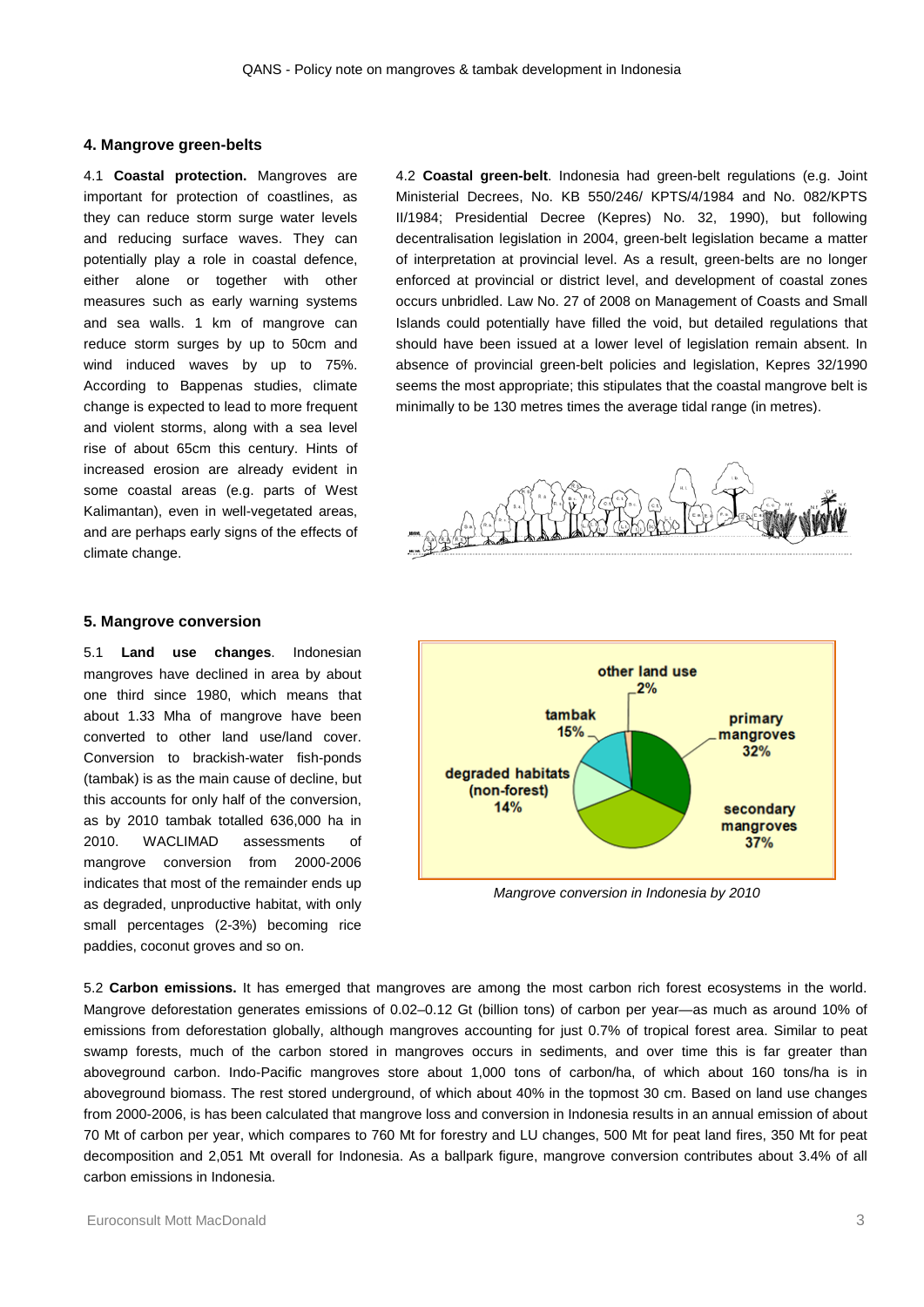## **4. Mangrove green-belts**

4.1 **Coastal protection.** Mangroves are important for protection of coastlines, as they can reduce storm surge water levels and reducing surface waves. They can potentially play a role in coastal defence, either alone or together with other measures such as early warning systems and sea walls. 1 km of mangrove can reduce storm surges by up to 50cm and wind induced waves by up to 75%. According to Bappenas studies, climate change is expected to lead to more frequent and violent storms, along with a sea level rise of about 65cm this century. Hints of increased erosion are already evident in some coastal areas (e.g. parts of West Kalimantan), even in well-vegetated areas, and are perhaps early signs of the effects of climate change.

4.2 **Coastal green-belt**. Indonesia had green-belt regulations (e.g. Joint Ministerial Decrees, No. KB 550/246/ KPTS/4/1984 and No. 082/KPTS II/1984; Presidential Decree (Kepres) No. 32, 1990), but following decentralisation legislation in 2004, green-belt legislation became a matter of interpretation at provincial level. As a result, green-belts are no longer enforced at provincial or district level, and development of coastal zones occurs unbridled. Law No. 27 of 2008 on Management of Coasts and Small Islands could potentially have filled the void, but detailed regulations that should have been issued at a lower level of legislation remain absent. In absence of provincial green-belt policies and legislation, Kepres 32/1990 seems the most appropriate; this stipulates that the coastal mangrove belt is minimally to be 130 metres times the average tidal range (in metres).



# **5. Mangrove conversion**

5.1 **Land use changes**. Indonesian mangroves have declined in area by about one third since 1980, which means that about 1.33 Mha of mangrove have been converted to other land use/land cover. Conversion to brackish-water fish-ponds (tambak) is as the main cause of decline, but this accounts for only half of the conversion, as by 2010 tambak totalled 636,000 ha in 2010. WACLIMAD assessments of mangrove conversion from 2000-2006 indicates that most of the remainder ends up as degraded, unproductive habitat, with only small percentages (2-3%) becoming rice paddies, coconut groves and so on.



*Mangrove conversion in Indonesia by 2010*

5.2 **Carbon emissions.** It has emerged that mangroves are among the most carbon rich forest ecosystems in the world. Mangrove deforestation generates emissions of 0.02–0.12 Gt (billion tons) of carbon per year—as much as around 10% of emissions from deforestation globally, although mangroves accounting for just 0.7% of tropical forest area. Similar to peat swamp forests, much of the carbon stored in mangroves occurs in sediments, and over time this is far greater than aboveground carbon. Indo-Pacific mangroves store about 1,000 tons of carbon/ha, of which about 160 tons/ha is in aboveground biomass. The rest stored underground, of which about 40% in the topmost 30 cm. Based on land use changes from 2000-2006, is has been calculated that mangrove loss and conversion in Indonesia results in an annual emission of about 70 Mt of carbon per year, which compares to 760 Mt for forestry and LU changes, 500 Mt for peat land fires, 350 Mt for peat decomposition and 2,051 Mt overall for Indonesia. As a ballpark figure, mangrove conversion contributes about 3.4% of all carbon emissions in Indonesia.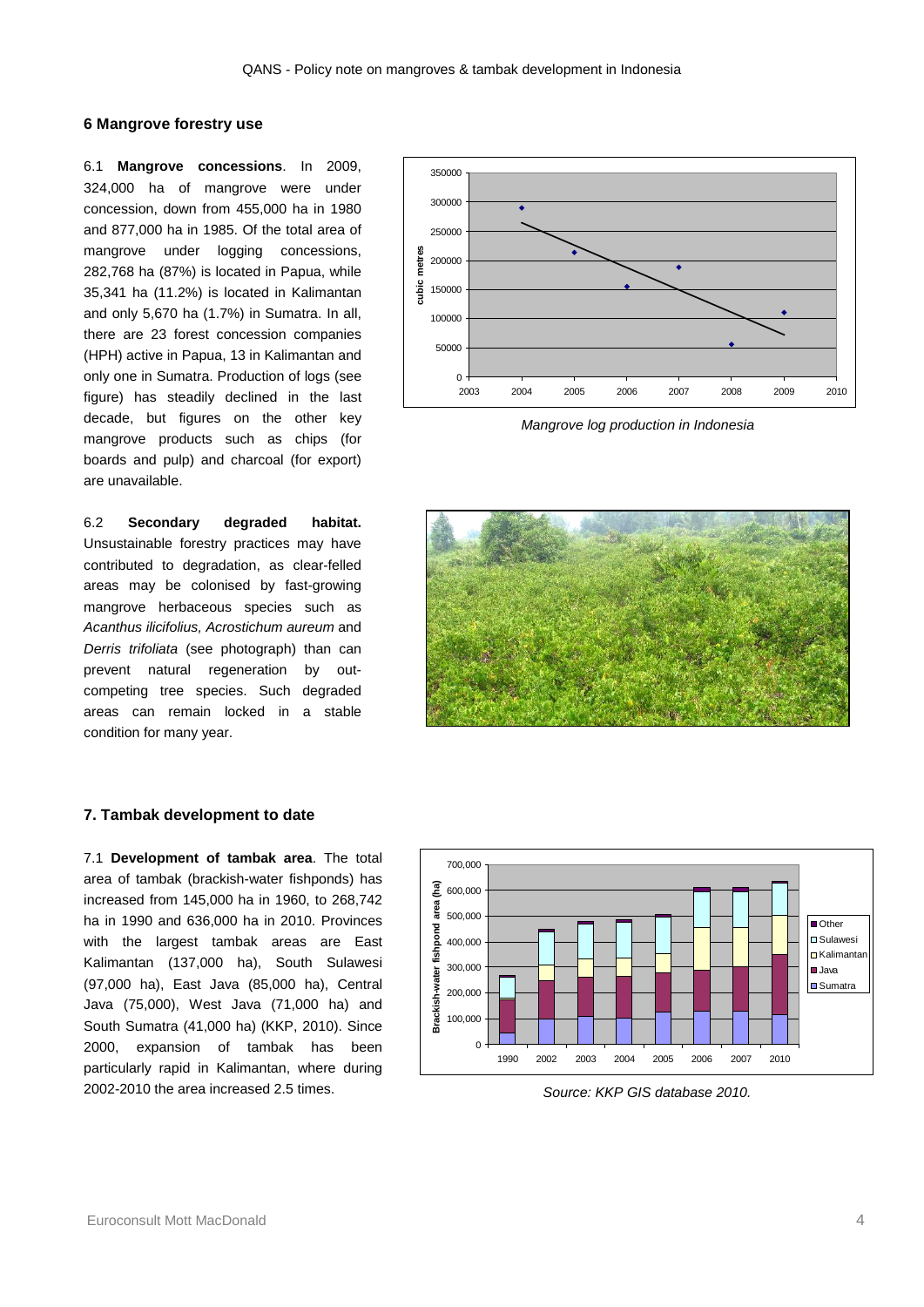# **6 Mangrove forestry use**

6.1 **Mangrove concessions**. In 2009, 324,000 ha of mangrove were under concession, down from 455,000 ha in 1980 and 877,000 ha in 1985. Of the total area of mangrove under logging concessions, 282,768 ha (87%) is located in Papua, while 35,341 ha (11.2%) is located in Kalimantan and only 5,670 ha (1.7%) in Sumatra. In all, there are 23 forest concession companies (HPH) active in Papua, 13 in Kalimantan and only one in Sumatra. Production of logs (see figure) has steadily declined in the last decade, but figures on the other key mangrove products such as chips (for boards and pulp) and charcoal (for export) are unavailable.

6.2 **Secondary degraded habitat.**  Unsustainable forestry practices may have contributed to degradation, as clear-felled areas may be colonised by fast-growing mangrove herbaceous species such as *Acanthus ilicifolius, Acrostichum aureum* and *Derris trifoliata* (see photograph) than can prevent natural regeneration by outcompeting tree species. Such degraded areas can remain locked in a stable condition for many year.



*Mangrove log production in Indonesia*



## **7. Tambak development to date**

7.1 **Development of tambak area**. The total area of tambak (brackish-water fishponds) has increased from 145,000 ha in 1960, to 268,742 ha in 1990 and 636,000 ha in 2010. Provinces with the largest tambak areas are East Kalimantan (137,000 ha), South Sulawesi (97,000 ha), East Java (85,000 ha), Central Java (75,000), West Java (71,000 ha) and South Sumatra (41,000 ha) (KKP, 2010). Since 2000, expansion of tambak has been particularly rapid in Kalimantan, where during 2002-2010 the area increased 2.5 times.



*Source: KKP GIS database 2010.*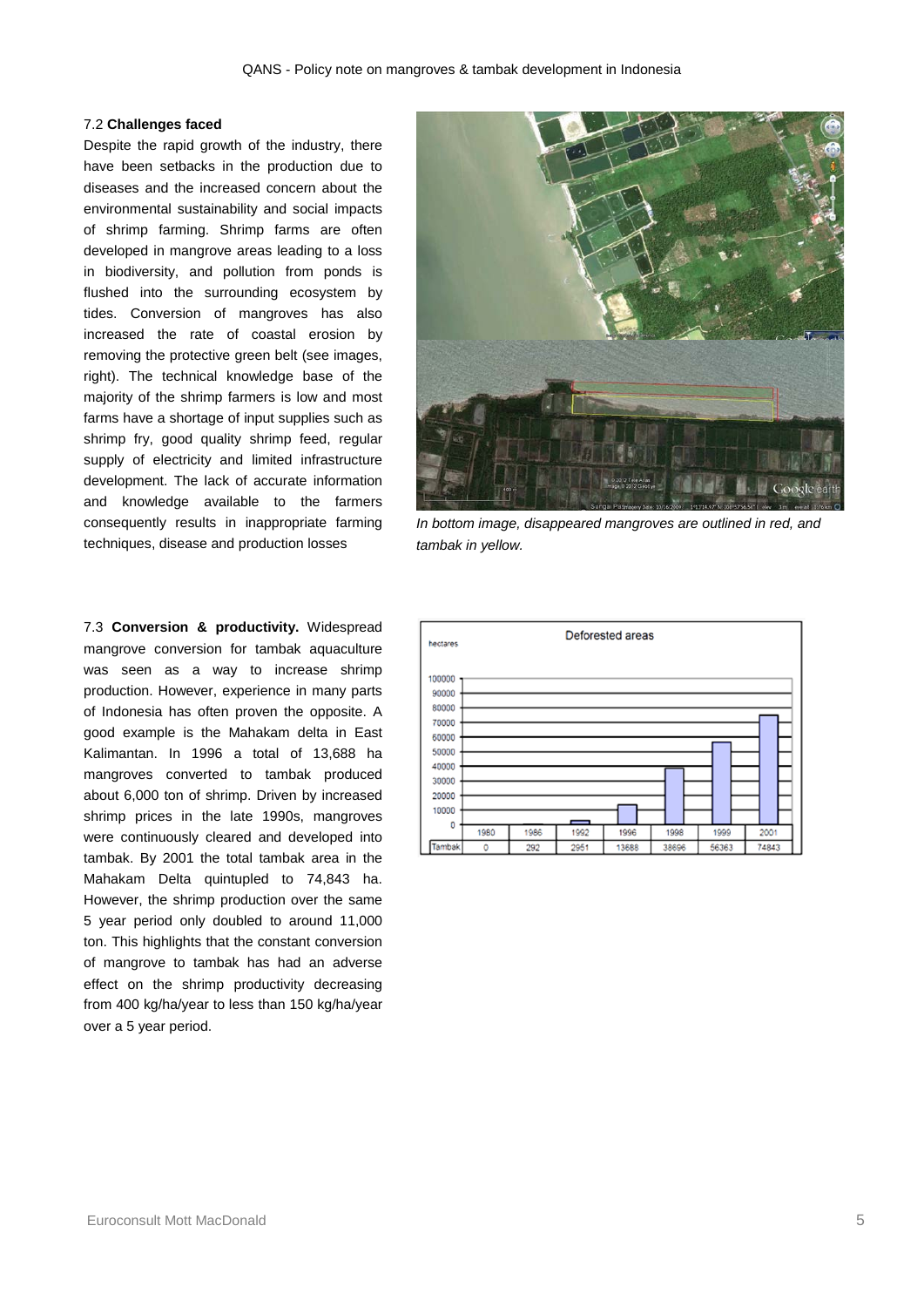#### 7.2 **Challenges faced**

Despite the rapid growth of the industry, there have been setbacks in the production due to diseases and the increased concern about the environmental sustainability and social impacts of shrimp farming. Shrimp farms are often developed in mangrove areas leading to a loss in biodiversity, and pollution from ponds is flushed into the surrounding ecosystem by tides. Conversion of mangroves has also increased the rate of coastal erosion by removing the protective green belt (see images, right). The technical knowledge base of the majority of the shrimp farmers is low and most farms have a shortage of input supplies such as shrimp fry, good quality shrimp feed, regular supply of electricity and limited infrastructure development. The lack of accurate information and knowledge available to the farmers consequently results in inappropriate farming techniques, disease and production losses

7.3 **Conversion & productivity.** Widespread mangrove conversion for tambak aquaculture was seen as a way to increase shrimp production. However, experience in many parts of Indonesia has often proven the opposite. A good example is the Mahakam delta in East Kalimantan. In 1996 a total of 13,688 ha mangroves converted to tambak produced about 6,000 ton of shrimp. Driven by increased shrimp prices in the late 1990s, mangroves were continuously cleared and developed into tambak. By 2001 the total tambak area in the Mahakam Delta quintupled to 74,843 ha. However, the shrimp production over the same 5 year period only doubled to around 11,000 ton. This highlights that the constant conversion of mangrove to tambak has had an adverse effect on the shrimp productivity decreasing from 400 kg/ha/year to less than 150 kg/ha/year over a 5 year period.



*In bottom image, disappeared mangroves are outlined in red, and tambak in yellow.*

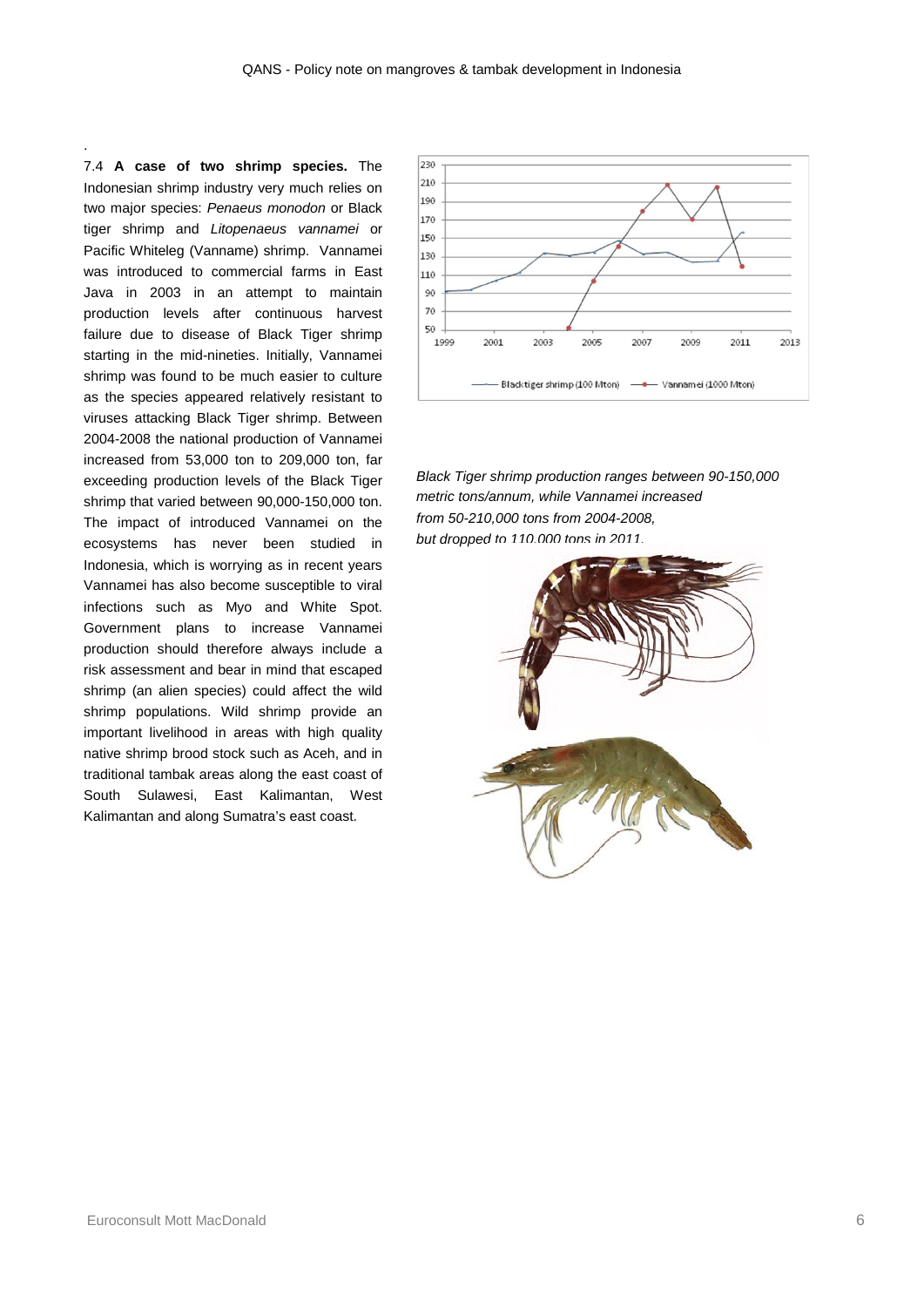7.4 **A case of two shrimp species.** The Indonesian shrimp industry very much relies on two major species: *Penaeus monodon* or Black tiger shrimp and *Litopenaeus vannamei* or Pacific Whiteleg (Vanname) shrimp. Vannamei was introduced to commercial farms in East Java in 2003 in an attempt to maintain production levels after continuous harvest failure due to disease of Black Tiger shrimp starting in the mid-nineties. Initially, Vannamei shrimp was found to be much easier to culture as the species appeared relatively resistant to viruses attacking Black Tiger shrimp. Between 2004-2008 the national production of Vannamei increased from 53,000 ton to 209,000 ton, far exceeding production levels of the Black Tiger shrimp that varied between 90,000-150,000 ton. The impact of introduced Vannamei on the ecosystems has never been studied in Indonesia, which is worrying as in recent years Vannamei has also become susceptible to viral infections such as Myo and White Spot. Government plans to increase Vannamei production should therefore always include a risk assessment and bear in mind that escaped shrimp (an alien species) could affect the wild shrimp populations. Wild shrimp provide an important livelihood in areas with high quality native shrimp brood stock such as Aceh, and in traditional tambak areas along the east coast of South Sulawesi, East Kalimantan, West Kalimantan and along Sumatra's east coast.

.



*Black Tiger shrimp production ranges between 90-150,000 metric tons/annum, while Vannamei increased from 50-210,000 tons from 2004-2008, but dropped to 110,000 tons in 2011.*